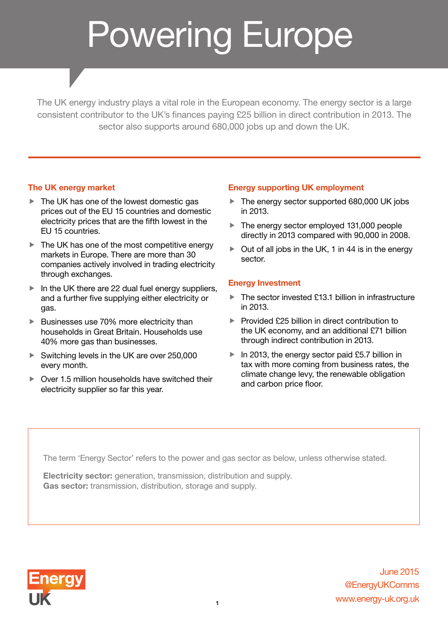# Powering Europe

The UK energy industry plays a vital role in the European economy. The energy sector is a large consistent contributor to the UK's finances paying £25 billion in direct contribution in 2013. The sector also supports around 680,000 jobs up and down the UK.

## The UK energy market

- $\blacktriangleright$  The UK has one of the lowest domestic gas prices out of the EU 15 countries and domestic electricity prices that are the fifth lowest in the EU 15 countries.
- $\blacktriangleright$  The UK has one of the most competitive energy markets in Europe. There are more than 30 companies actively involved in trading electricity through exchanges.
- $\blacktriangleright$  In the UK there are 22 dual fuel energy suppliers, and a further five supplying either electricity or gas.
- $\blacktriangleright$  Businesses use 70% more electricity than households in Great Britain. Households use 40% more gas than businesses.
- $\blacktriangleright$  Switching levels in the UK are over 250,000 every month.
- $\triangleright$  Over 1.5 million households have switched their electricity supplier so far this year.

## Energy supporting UK employment

- $\blacktriangleright$  The energy sector supported 680,000 UK jobs in 2013.
- $\blacktriangleright$  The energy sector employed 131,000 people directly in 2013 compared with 90,000 in 2008.
- $\triangleright$  Out of all jobs in the UK, 1 in 44 is in the energy sector.

#### Energy Investment

- $\blacktriangleright$  The sector invested £13.1 billion in infrastructure in 2013.
- $\blacktriangleright$  Provided £25 billion in direct contribution to the UK economy, and an additional £71 billion through indirect contribution in 2013.
- $\blacktriangleright$  In 2013, the energy sector paid £5.7 billion in tax with more coming from business rates, the climate change levy, the renewable obligation and carbon price floor.

The term 'Energy Sector' refers to the power and gas sector as below, unless otherwise stated.

Electricity sector: generation, transmission, distribution and supply. Gas sector: transmission, distribution, storage and supply.



www.energy-uk.org.uk @EnergyUKComms June 2015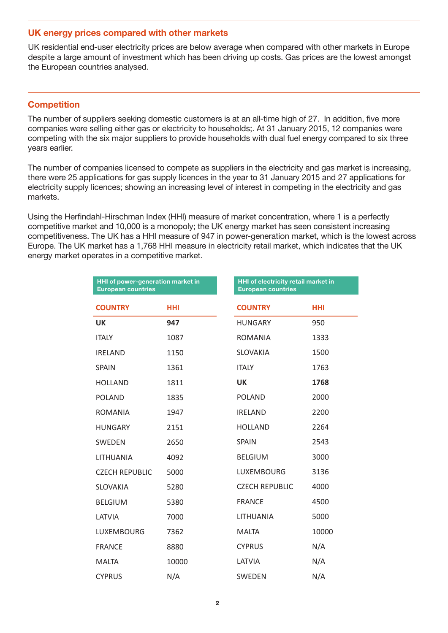#### UK energy prices compared with other markets

UK residential end-user electricity prices are below average when compared with other markets in Europe despite a large amount of investment which has been driving up costs. Gas prices are the lowest amongst the European countries analysed.

## **Competition**

The number of suppliers seeking domestic customers is at an all-time high of 27. In addition, five more companies were selling either gas or electricity to households;. At 31 January 2015, 12 companies were competing with the six major suppliers to provide households with dual fuel energy compared to six three years earlier.

The number of companies licensed to compete as suppliers in the electricity and gas market is increasing, there were 25 applications for gas supply licences in the year to 31 January 2015 and 27 applications for electricity supply licences; showing an increasing level of interest in competing in the electricity and gas markets.

Using the Herfindahl-Hirschman Index (HHI) measure of market concentration, where 1 is a perfectly competitive market and 10,000 is a monopoly; the UK energy market has seen consistent increasing competitiveness. The UK has a HHI measure of 947 in power-generation market, which is the lowest across Europe. The UK market has a 1,768 HHI measure in electricity retail market, which indicates that the UK energy market operates in a competitive market.

| HHI of power-generation market in<br><b>European countries</b> |            | HHI of electricity retail market in<br><b>European countries</b> |            |
|----------------------------------------------------------------|------------|------------------------------------------------------------------|------------|
| <b>COUNTRY</b>                                                 | <b>HHI</b> | <b>COUNTRY</b>                                                   | <b>HHI</b> |
| <b>UK</b>                                                      | 947        | <b>HUNGARY</b>                                                   | 950        |
| <b>ITALY</b>                                                   | 1087       | <b>ROMANIA</b>                                                   | 1333       |
| <b>IRELAND</b>                                                 | 1150       | <b>SLOVAKIA</b>                                                  | 1500       |
| <b>SPAIN</b>                                                   | 1361       | <b>ITALY</b>                                                     | 1763       |
| <b>HOLLAND</b>                                                 | 1811       | <b>UK</b>                                                        | 1768       |
| <b>POLAND</b>                                                  | 1835       | <b>POLAND</b>                                                    | 2000       |
| <b>ROMANIA</b>                                                 | 1947       | <b>IRELAND</b>                                                   | 2200       |
| <b>HUNGARY</b>                                                 | 2151       | <b>HOLLAND</b>                                                   | 2264       |
| <b>SWEDEN</b>                                                  | 2650       | <b>SPAIN</b>                                                     | 2543       |
| LITHUANIA                                                      | 4092       | <b>BELGIUM</b>                                                   | 3000       |
| <b>CZECH REPUBLIC</b>                                          | 5000       | <b>LUXEMBOURG</b>                                                | 3136       |
| <b>SLOVAKIA</b>                                                | 5280       | <b>CZECH REPUBLIC</b>                                            | 4000       |
| <b>BELGIUM</b>                                                 | 5380       | <b>FRANCE</b>                                                    | 4500       |
| LATVIA                                                         | 7000       | <b>LITHUANIA</b>                                                 | 5000       |
| LUXEMBOURG                                                     | 7362       | <b>MALTA</b>                                                     | 10000      |
| <b>FRANCE</b>                                                  | 8880       | <b>CYPRUS</b>                                                    | N/A        |
| <b>MALTA</b>                                                   | 10000      | LATVIA                                                           | N/A        |
| <b>CYPRUS</b>                                                  | N/A        | <b>SWEDEN</b>                                                    | N/A        |